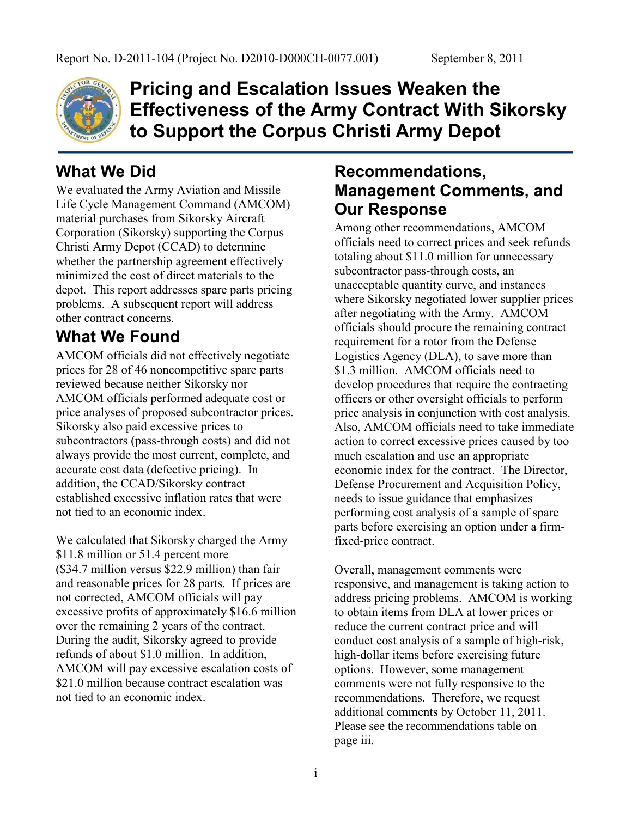

**Pricing and Escalation Issues Weaken the Effectiveness of the Army Contract With Sikorsky to Support the Corpus Christi Army Depot**

## **What We Did**

We evaluated the Army Aviation and Missile Life Cycle Management Command (AMCOM) material purchases from Sikorsky Aircraft Corporation (Sikorsky) supporting the Corpus Christi Army Depot (CCAD) to determine whether the partnership agreement effectively minimized the cost of direct materials to the depot. This report addresses spare parts pricing problems. A subsequent report will address other contract concerns.

# **What We Found**

AMCOM officials did not effectively negotiate prices for 28 of 46 noncompetitive spare parts reviewed because neither Sikorsky nor AMCOM officials performed adequate cost or price analyses of proposed subcontractor prices. Sikorsky also paid excessive prices to subcontractors (pass-through costs) and did not always provide the most current, complete, and accurate cost data (defective pricing). In addition, the CCAD/Sikorsky contract established excessive inflation rates that were not tied to an economic index.

We calculated that Sikorsky charged the Army \$11.8 million or 51.4 percent more (\$34.7 million versus \$22.9 million) than fair and reasonable prices for 28 parts. If prices are not corrected, AMCOM officials will pay excessive profits of approximately \$16.6 million over the remaining 2 years of the contract. During the audit, Sikorsky agreed to provide refunds of about \$1.0 million. In addition, AMCOM will pay excessive escalation costs of \$21.0 million because contract escalation was not tied to an economic index.

## **Recommendations, Management Comments, and Our Response**

Among other recommendations, AMCOM officials need to correct prices and seek refunds totaling about \$11.0 million for unnecessary subcontractor pass-through costs, an unacceptable quantity curve, and instances where Sikorsky negotiated lower supplier prices after negotiating with the Army. AMCOM officials should procure the remaining contract requirement for a rotor from the Defense Logistics Agency (DLA), to save more than \$1.3 million. AMCOM officials need to develop procedures that require the contracting officers or other oversight officials to perform price analysis in conjunction with cost analysis. Also, AMCOM officials need to take immediate action to correct excessive prices caused by too much escalation and use an appropriate economic index for the contract. The Director, Defense Procurement and Acquisition Policy, needs to issue guidance that emphasizes performing cost analysis of a sample of spare parts before exercising an option under a firmfixed-price contract.

Overall, management comments were responsive, and management is taking action to address pricing problems. AMCOM is working to obtain items from DLA at lower prices or reduce the current contract price and will conduct cost analysis of a sample of high-risk, high-dollar items before exercising future options. However, some management comments were not fully responsive to the recommendations. Therefore, we request additional comments by October 11, 2011. Please see the recommendations table on page iii.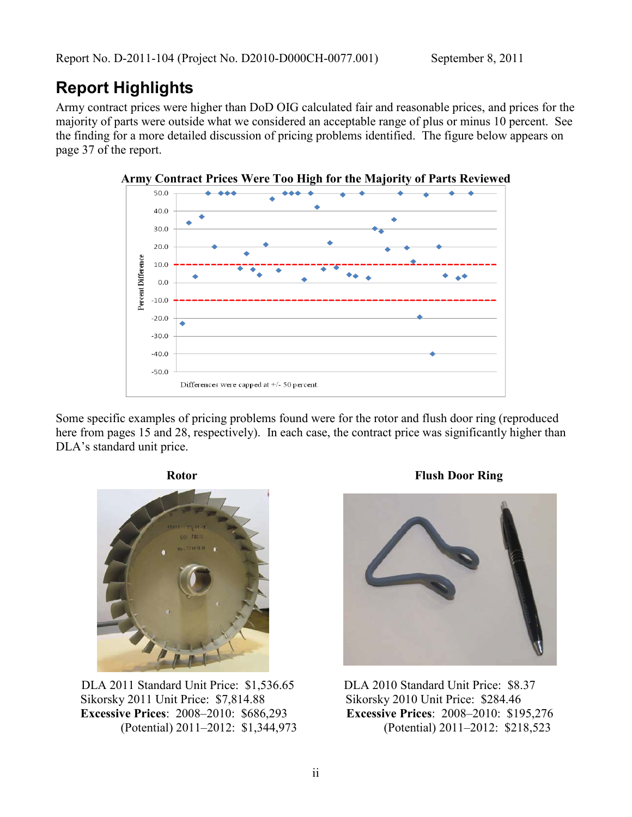#### **Report Highlights**

Army contract prices were higher than DoD OIG calculated fair and reasonable prices, and prices for the majority of parts were outside what we considered an acceptable range of plus or minus 10 percent. See the finding for a more detailed discussion of pricing problems identified. The figure below appears on page 37 of the report.



Some specific examples of pricing problems found were for the rotor and flush door ring (reproduced here from pages 15 and 28, respectively). In each case, the contract price was significantly higher than DLA's standard unit price.



 DLA 2011 Standard Unit Price: \$1,536.65 Sikorsky 2011 Unit Price: \$7,814.88  **Excessive Prices**: 2008–2010: \$686,293 (Potential) 2011–2012: \$1,344,973

**Rotor** Flush Door Ring



DLA 2010 Standard Unit Price: \$8.37 Sikorsky 2010 Unit Price: \$284.46 **Excessive Prices**: 2008–2010: \$195,276 (Potential) 2011–2012: \$218,523